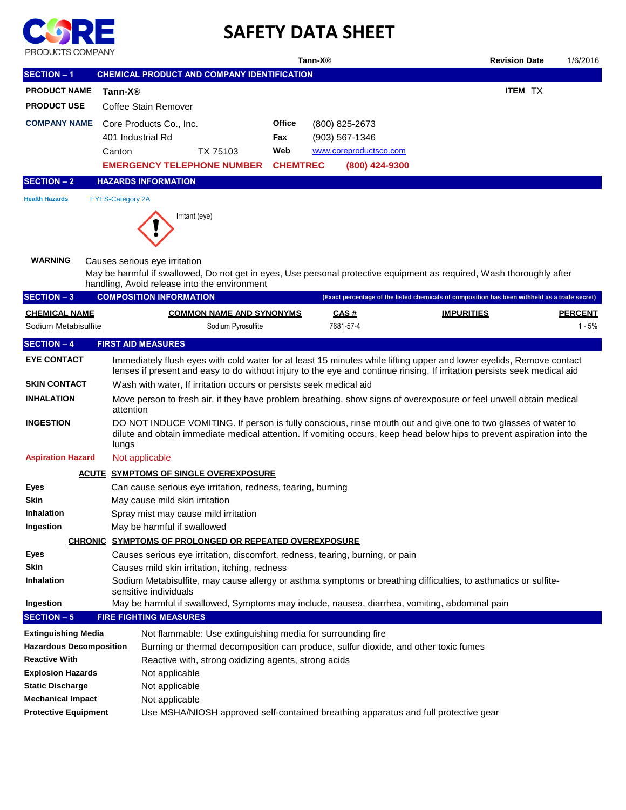

## **SAFETY DATA SHEET**

| PRODUCTS COMPANY               | Tann-X <sup>®</sup>                                                                                                                                                                                                                              | <b>Revision Date</b>                                                                          | 1/6/2016       |  |  |  |  |
|--------------------------------|--------------------------------------------------------------------------------------------------------------------------------------------------------------------------------------------------------------------------------------------------|-----------------------------------------------------------------------------------------------|----------------|--|--|--|--|
| <b>SECTION - 1</b>             | CHEMICAL PRODUCT AND COMPANY IDENTIFICATION                                                                                                                                                                                                      |                                                                                               |                |  |  |  |  |
| <b>PRODUCT NAME</b>            | Tann-X®                                                                                                                                                                                                                                          | <b>ITEM TX</b>                                                                                |                |  |  |  |  |
| <b>PRODUCT USE</b>             | Coffee Stain Remover                                                                                                                                                                                                                             |                                                                                               |                |  |  |  |  |
| <b>COMPANY NAME</b>            | Office                                                                                                                                                                                                                                           |                                                                                               |                |  |  |  |  |
|                                | Core Products Co., Inc.<br>401 Industrial Rd<br>Fax                                                                                                                                                                                              | (800) 825-2673<br>$(903) 567 - 1346$                                                          |                |  |  |  |  |
|                                | Canton<br>TX 75103<br>Web                                                                                                                                                                                                                        | www.coreproductsco.com                                                                        |                |  |  |  |  |
|                                | <b>EMERGENCY TELEPHONE NUMBER</b><br><b>CHEMTREC</b>                                                                                                                                                                                             | (800) 424-9300                                                                                |                |  |  |  |  |
|                                | <b>HAZARDS INFORMATION</b>                                                                                                                                                                                                                       |                                                                                               |                |  |  |  |  |
| <b>SECTION - 2</b>             |                                                                                                                                                                                                                                                  |                                                                                               |                |  |  |  |  |
| <b>Health Hazards</b>          | <b>EYES-Category 2A</b>                                                                                                                                                                                                                          |                                                                                               |                |  |  |  |  |
|                                | Irritant (eye)                                                                                                                                                                                                                                   |                                                                                               |                |  |  |  |  |
| <b>WARNING</b>                 | Causes serious eye irritation<br>May be harmful if swallowed, Do not get in eyes, Use personal protective equipment as required, Wash thoroughly after<br>handling, Avoid release into the environment                                           |                                                                                               |                |  |  |  |  |
| <b>SECTION - 3</b>             | <b>COMPOSITION INFORMATION</b>                                                                                                                                                                                                                   | (Exact percentage of the listed chemicals of composition has been withheld as a trade secret) |                |  |  |  |  |
| <b>CHEMICAL NAME</b>           | <b>COMMON NAME AND SYNONYMS</b>                                                                                                                                                                                                                  | CAS#<br><b>IMPURITIES</b>                                                                     | <b>PERCENT</b> |  |  |  |  |
| Sodium Metabisulfite           | Sodium Pyrosulfite                                                                                                                                                                                                                               | 7681-57-4                                                                                     | 1 - 5%         |  |  |  |  |
| <b>SECTION - 4</b>             | <b>FIRST AID MEASURES</b>                                                                                                                                                                                                                        |                                                                                               |                |  |  |  |  |
| <b>EYE CONTACT</b>             | Immediately flush eyes with cold water for at least 15 minutes while lifting upper and lower eyelids, Remove contact<br>lenses if present and easy to do without injury to the eye and continue rinsing, If irritation persists seek medical aid |                                                                                               |                |  |  |  |  |
| <b>SKIN CONTACT</b>            | Wash with water, If irritation occurs or persists seek medical aid                                                                                                                                                                               |                                                                                               |                |  |  |  |  |
| <b>INHALATION</b>              | Move person to fresh air, if they have problem breathing, show signs of overexposure or feel unwell obtain medical<br>attention                                                                                                                  |                                                                                               |                |  |  |  |  |
| <b>INGESTION</b>               | DO NOT INDUCE VOMITING. If person is fully conscious, rinse mouth out and give one to two glasses of water to<br>dilute and obtain immediate medical attention. If vomiting occurs, keep head below hips to prevent aspiration into the<br>lungs |                                                                                               |                |  |  |  |  |
| <b>Aspiration Hazard</b>       | Not applicable                                                                                                                                                                                                                                   |                                                                                               |                |  |  |  |  |
|                                | <u>ACUTE SYMPTOMS OF SINGLE OVEREXPOSURE</u>                                                                                                                                                                                                     |                                                                                               |                |  |  |  |  |
| <b>Eyes</b>                    | Can cause serious eye irritation, redness, tearing, burning                                                                                                                                                                                      |                                                                                               |                |  |  |  |  |
| Skin                           | May cause mild skin irritation                                                                                                                                                                                                                   |                                                                                               |                |  |  |  |  |
| Inhalation                     | Spray mist may cause mild irritation                                                                                                                                                                                                             |                                                                                               |                |  |  |  |  |
| Ingestion                      | May be harmful if swallowed                                                                                                                                                                                                                      |                                                                                               |                |  |  |  |  |
|                                | CHRONIC SYMPTOMS OF PROLONGED OR REPEATED OVEREXPOSURE                                                                                                                                                                                           |                                                                                               |                |  |  |  |  |
| Eyes                           | Causes serious eye irritation, discomfort, redness, tearing, burning, or pain                                                                                                                                                                    |                                                                                               |                |  |  |  |  |
| Skin                           | Causes mild skin irritation, itching, redness                                                                                                                                                                                                    |                                                                                               |                |  |  |  |  |
| Inhalation                     | Sodium Metabisulfite, may cause allergy or asthma symptoms or breathing difficulties, to asthmatics or sulfite-<br>sensitive individuals                                                                                                         |                                                                                               |                |  |  |  |  |
| Ingestion                      | May be harmful if swallowed, Symptoms may include, nausea, diarrhea, vomiting, abdominal pain                                                                                                                                                    |                                                                                               |                |  |  |  |  |
| <b>SECTION - 5</b>             | <b>FIRE FIGHTING MEASURES</b>                                                                                                                                                                                                                    |                                                                                               |                |  |  |  |  |
| <b>Extinguishing Media</b>     | Not flammable: Use extinguishing media for surrounding fire                                                                                                                                                                                      |                                                                                               |                |  |  |  |  |
| <b>Hazardous Decomposition</b> | Burning or thermal decomposition can produce, sulfur dioxide, and other toxic fumes                                                                                                                                                              |                                                                                               |                |  |  |  |  |
| <b>Reactive With</b>           | Reactive with, strong oxidizing agents, strong acids                                                                                                                                                                                             |                                                                                               |                |  |  |  |  |
| <b>Explosion Hazards</b>       | Not applicable                                                                                                                                                                                                                                   |                                                                                               |                |  |  |  |  |
| <b>Static Discharge</b>        | Not applicable                                                                                                                                                                                                                                   |                                                                                               |                |  |  |  |  |
| <b>Mechanical Impact</b>       | Not applicable                                                                                                                                                                                                                                   |                                                                                               |                |  |  |  |  |
| <b>Protective Equipment</b>    | Use MSHA/NIOSH approved self-contained breathing apparatus and full protective gear                                                                                                                                                              |                                                                                               |                |  |  |  |  |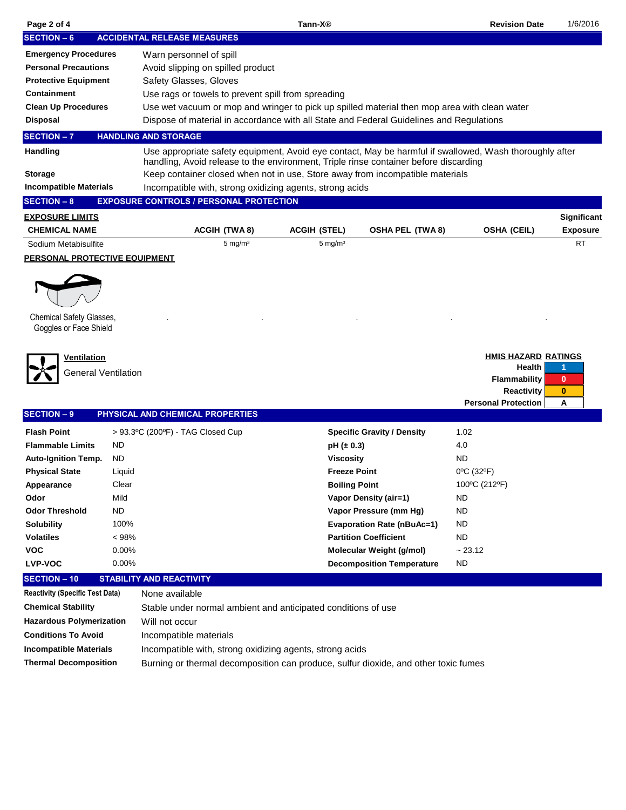| Page 2 of 4                                        | Tann-X <sup>®</sup> |                                                                                                                                                                                                 |                      |                                   | <b>Revision Date</b>                                                                                           | 1/6/2016                           |  |  |  |  |
|----------------------------------------------------|---------------------|-------------------------------------------------------------------------------------------------------------------------------------------------------------------------------------------------|----------------------|-----------------------------------|----------------------------------------------------------------------------------------------------------------|------------------------------------|--|--|--|--|
| <b>SECTION - 6</b>                                 |                     | <b>ACCIDENTAL RELEASE MEASURES</b>                                                                                                                                                              |                      |                                   |                                                                                                                |                                    |  |  |  |  |
| <b>Emergency Procedures</b>                        |                     | Warn personnel of spill                                                                                                                                                                         |                      |                                   |                                                                                                                |                                    |  |  |  |  |
| <b>Personal Precautions</b>                        |                     | Avoid slipping on spilled product                                                                                                                                                               |                      |                                   |                                                                                                                |                                    |  |  |  |  |
| <b>Protective Equipment</b>                        |                     | Safety Glasses, Gloves                                                                                                                                                                          |                      |                                   |                                                                                                                |                                    |  |  |  |  |
| <b>Containment</b>                                 |                     | Use rags or towels to prevent spill from spreading                                                                                                                                              |                      |                                   |                                                                                                                |                                    |  |  |  |  |
| <b>Clean Up Procedures</b>                         |                     | Use wet vacuum or mop and wringer to pick up spilled material then mop area with clean water                                                                                                    |                      |                                   |                                                                                                                |                                    |  |  |  |  |
| <b>Disposal</b>                                    |                     | Dispose of material in accordance with all State and Federal Guidelines and Regulations                                                                                                         |                      |                                   |                                                                                                                |                                    |  |  |  |  |
| <b>SECTION-7</b>                                   |                     | <b>HANDLING AND STORAGE</b>                                                                                                                                                                     |                      |                                   |                                                                                                                |                                    |  |  |  |  |
| Handling                                           |                     | Use appropriate safety equipment, Avoid eye contact, May be harmful if swallowed, Wash thoroughly after<br>handling, Avoid release to the environment, Triple rinse container before discarding |                      |                                   |                                                                                                                |                                    |  |  |  |  |
| <b>Storage</b>                                     |                     | Keep container closed when not in use, Store away from incompatible materials                                                                                                                   |                      |                                   |                                                                                                                |                                    |  |  |  |  |
| <b>Incompatible Materials</b>                      |                     | Incompatible with, strong oxidizing agents, strong acids                                                                                                                                        |                      |                                   |                                                                                                                |                                    |  |  |  |  |
| <b>SECTION - 8</b>                                 |                     | <b>EXPOSURE CONTROLS / PERSONAL PROTECTION</b>                                                                                                                                                  |                      |                                   |                                                                                                                |                                    |  |  |  |  |
| <b>EXPOSURE LIMITS</b>                             |                     |                                                                                                                                                                                                 |                      |                                   |                                                                                                                | Significant                        |  |  |  |  |
| <b>CHEMICAL NAME</b>                               |                     | <b>ACGIH (TWA 8)</b>                                                                                                                                                                            | <b>ACGIH (STEL)</b>  | <b>OSHA PEL (TWA 8)</b>           | <b>OSHA (CEIL)</b>                                                                                             | <b>Exposure</b>                    |  |  |  |  |
| Sodium Metabisulfite                               |                     | $5 \text{ mg/m}^3$                                                                                                                                                                              | $5 \text{ mg/m}^3$   |                                   |                                                                                                                | <b>RT</b>                          |  |  |  |  |
| <b>PERSONAL PROTECTIVE EQUIPMENT</b>               |                     |                                                                                                                                                                                                 |                      |                                   |                                                                                                                |                                    |  |  |  |  |
| Chemical Safety Glasses,<br>Goggles or Face Shield |                     |                                                                                                                                                                                                 |                      |                                   |                                                                                                                |                                    |  |  |  |  |
| Ventilation<br><b>General Ventilation</b>          |                     |                                                                                                                                                                                                 |                      |                                   | <b>HMIS HAZARD RATINGS</b><br>Health<br><b>Flammability</b><br><b>Reactivity</b><br><b>Personal Protection</b> | 1<br>$\mathbf{0}$<br>$\bf{0}$<br>A |  |  |  |  |
| <b>SECTION-9</b>                                   |                     | PHYSICAL AND CHEMICAL PROPERTIES                                                                                                                                                                |                      |                                   |                                                                                                                |                                    |  |  |  |  |
| <b>Flash Point</b>                                 |                     | > 93.3°C (200°F) - TAG Closed Cup                                                                                                                                                               |                      | <b>Specific Gravity / Density</b> | 1.02                                                                                                           |                                    |  |  |  |  |
| <b>Flammable Limits</b>                            | ND                  |                                                                                                                                                                                                 | pH (± 0.3)           |                                   | 4.0                                                                                                            |                                    |  |  |  |  |
| <b>Auto-Ignition Temp.</b>                         | ND                  |                                                                                                                                                                                                 | <b>Viscosity</b>     |                                   | ND                                                                                                             |                                    |  |  |  |  |
| <b>Physical State</b>                              | Liquid              |                                                                                                                                                                                                 | <b>Freeze Point</b>  |                                   | 0°C (32°F)                                                                                                     |                                    |  |  |  |  |
| Appearance                                         | Clear               |                                                                                                                                                                                                 | <b>Boiling Point</b> |                                   | 100°C (212°F)                                                                                                  |                                    |  |  |  |  |
| Odor                                               | Mild                |                                                                                                                                                                                                 |                      | <b>Vapor Density (air=1)</b>      | ND                                                                                                             |                                    |  |  |  |  |
| <b>Odor Threshold</b>                              | <b>ND</b>           |                                                                                                                                                                                                 |                      | Vapor Pressure (mm Hg)            | ND                                                                                                             |                                    |  |  |  |  |
| <b>Solubility</b>                                  | 100%                |                                                                                                                                                                                                 |                      | <b>Evaporation Rate (nBuAc=1)</b> | <b>ND</b>                                                                                                      |                                    |  |  |  |  |
| <b>Volatiles</b>                                   | $< 98\%$            |                                                                                                                                                                                                 |                      | <b>Partition Coefficient</b>      | ND                                                                                                             |                                    |  |  |  |  |
| <b>VOC</b>                                         | 0.00%               |                                                                                                                                                                                                 |                      | Molecular Weight (g/mol)          | ~23.12                                                                                                         |                                    |  |  |  |  |
| <b>LVP-VOC</b>                                     | 0.00%               |                                                                                                                                                                                                 |                      | <b>Decomposition Temperature</b>  | <b>ND</b>                                                                                                      |                                    |  |  |  |  |
| <b>SECTION - 10</b>                                |                     | <b>STABILITY AND REACTIVITY</b>                                                                                                                                                                 |                      |                                   |                                                                                                                |                                    |  |  |  |  |
| <b>Reactivity (Specific Test Data)</b>             |                     | None available                                                                                                                                                                                  |                      |                                   |                                                                                                                |                                    |  |  |  |  |
| <b>Chemical Stability</b>                          |                     | Stable under normal ambient and anticipated conditions of use                                                                                                                                   |                      |                                   |                                                                                                                |                                    |  |  |  |  |
| <b>Hazardous Polymerization</b>                    |                     | Will not occur                                                                                                                                                                                  |                      |                                   |                                                                                                                |                                    |  |  |  |  |
| <b>Conditions To Avoid</b>                         |                     | Incompatible materials                                                                                                                                                                          |                      |                                   |                                                                                                                |                                    |  |  |  |  |
| <b>Incompatible Materials</b>                      |                     | Incompatible with, strong oxidizing agents, strong acids                                                                                                                                        |                      |                                   |                                                                                                                |                                    |  |  |  |  |

**Thermal Decomposition** Burning or thermal decomposition can produce, sulfur dioxide, and other toxic fumes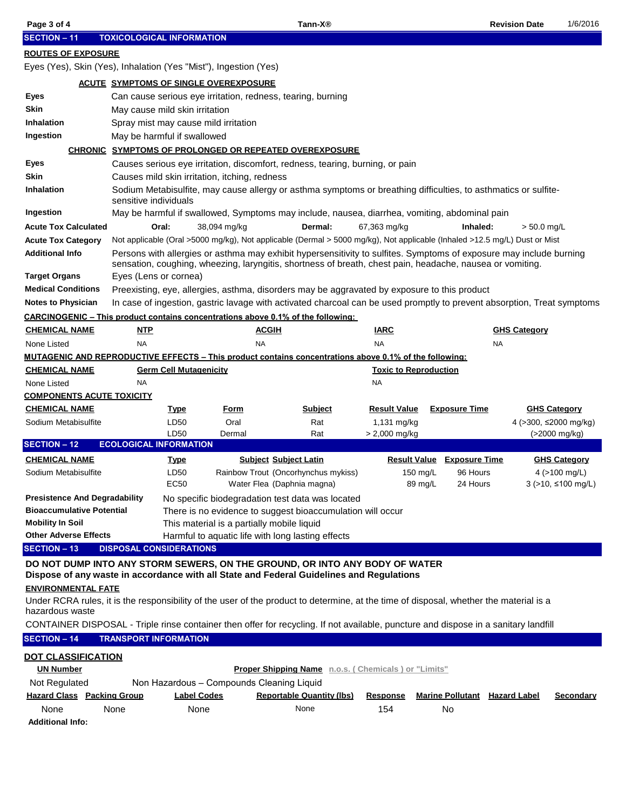| Page 3 of 4                                                                                                                                                             |                                |                                      |                                               | Tann-X <sup>®</sup>                                                                                                                                                                                                              |                               |                                      | <b>Revision Date</b>  | 1/6/2016                                              |
|-------------------------------------------------------------------------------------------------------------------------------------------------------------------------|--------------------------------|--------------------------------------|-----------------------------------------------|----------------------------------------------------------------------------------------------------------------------------------------------------------------------------------------------------------------------------------|-------------------------------|--------------------------------------|-----------------------|-------------------------------------------------------|
| <b>SECTION - 11</b><br><b>TOXICOLOGICAL INFORMATION</b>                                                                                                                 |                                |                                      |                                               |                                                                                                                                                                                                                                  |                               |                                      |                       |                                                       |
| <b>ROUTES OF EXPOSURE</b>                                                                                                                                               |                                |                                      |                                               |                                                                                                                                                                                                                                  |                               |                                      |                       |                                                       |
| Eyes (Yes), Skin (Yes), Inhalation (Yes "Mist"), Ingestion (Yes)                                                                                                        |                                |                                      |                                               |                                                                                                                                                                                                                                  |                               |                                      |                       |                                                       |
|                                                                                                                                                                         |                                |                                      | <b>ACUTE SYMPTOMS OF SINGLE OVEREXPOSURE</b>  |                                                                                                                                                                                                                                  |                               |                                      |                       |                                                       |
| Eyes                                                                                                                                                                    |                                |                                      |                                               | Can cause serious eye irritation, redness, tearing, burning                                                                                                                                                                      |                               |                                      |                       |                                                       |
| Skin                                                                                                                                                                    |                                | May cause mild skin irritation       |                                               |                                                                                                                                                                                                                                  |                               |                                      |                       |                                                       |
| <b>Inhalation</b>                                                                                                                                                       |                                | Spray mist may cause mild irritation |                                               |                                                                                                                                                                                                                                  |                               |                                      |                       |                                                       |
| Ingestion                                                                                                                                                               |                                | May be harmful if swallowed          |                                               |                                                                                                                                                                                                                                  |                               |                                      |                       |                                                       |
|                                                                                                                                                                         |                                |                                      |                                               | <b>CHRONIC SYMPTOMS OF PROLONGED OR REPEATED OVEREXPOSURE</b>                                                                                                                                                                    |                               |                                      |                       |                                                       |
| Eyes                                                                                                                                                                    |                                |                                      |                                               | Causes serious eye irritation, discomfort, redness, tearing, burning, or pain                                                                                                                                                    |                               |                                      |                       |                                                       |
| Skin                                                                                                                                                                    |                                |                                      | Causes mild skin irritation, itching, redness |                                                                                                                                                                                                                                  |                               |                                      |                       |                                                       |
| <b>Inhalation</b>                                                                                                                                                       | sensitive individuals          |                                      |                                               | Sodium Metabisulfite, may cause allergy or asthma symptoms or breathing difficulties, to asthmatics or sulfite-                                                                                                                  |                               |                                      |                       |                                                       |
| Ingestion                                                                                                                                                               |                                |                                      |                                               | May be harmful if swallowed, Symptoms may include, nausea, diarrhea, vomiting, abdominal pain                                                                                                                                    |                               |                                      |                       |                                                       |
| <b>Acute Tox Calculated</b>                                                                                                                                             |                                | Oral:                                | 38,094 mg/kg                                  | Dermal:                                                                                                                                                                                                                          | 67,363 mg/kg                  | Inhaled:                             | $> 50.0$ mg/L         |                                                       |
| <b>Acute Tox Category</b>                                                                                                                                               |                                |                                      |                                               | Not applicable (Oral >5000 mg/kg), Not applicable (Dermal > 5000 mg/kg), Not applicable (Inhaled >12.5 mg/L) Dust or Mist                                                                                                        |                               |                                      |                       |                                                       |
| <b>Additional Info</b>                                                                                                                                                  |                                |                                      |                                               | Persons with allergies or asthma may exhibit hypersensitivity to sulfites. Symptoms of exposure may include burning<br>sensation, coughing, wheezing, laryngitis, shortness of breath, chest pain, headache, nausea or vomiting. |                               |                                      |                       |                                                       |
| <b>Target Organs</b>                                                                                                                                                    | Eyes (Lens or cornea)          |                                      |                                               |                                                                                                                                                                                                                                  |                               |                                      |                       |                                                       |
| <b>Medical Conditions</b>                                                                                                                                               |                                |                                      |                                               | Preexisting, eye, allergies, asthma, disorders may be aggravated by exposure to this product                                                                                                                                     |                               |                                      |                       |                                                       |
| <b>Notes to Physician</b>                                                                                                                                               |                                |                                      |                                               | In case of ingestion, gastric lavage with activated charcoal can be used promptly to prevent absorption, Treat symptoms                                                                                                          |                               |                                      |                       |                                                       |
|                                                                                                                                                                         |                                |                                      |                                               | <b>CARCINOGENIC – This product contains concentrations above 0.1% of the following:</b>                                                                                                                                          |                               |                                      |                       |                                                       |
| <b>CHEMICAL NAME</b>                                                                                                                                                    | <u>NTP</u>                     |                                      | <u>ACGIH</u>                                  |                                                                                                                                                                                                                                  | <u>IARC</u>                   |                                      | <b>GHS Category</b>   |                                                       |
| None Listed                                                                                                                                                             | <b>NA</b>                      |                                      | <b>NA</b>                                     |                                                                                                                                                                                                                                  | <b>NA</b>                     |                                      | <b>NA</b>             |                                                       |
|                                                                                                                                                                         |                                |                                      |                                               | <b>MUTAGENIC AND REPRODUCTIVE EFFECTS – This product contains concentrations above 0.1% of the following:</b>                                                                                                                    |                               |                                      |                       |                                                       |
| <u>CHEMICAL NAME</u>                                                                                                                                                    |                                | <b>Germ Cell Mutagenicity</b>        |                                               |                                                                                                                                                                                                                                  | <b>Toxic to Reproduction</b>  |                                      |                       |                                                       |
| None Listed                                                                                                                                                             | <b>NA</b>                      |                                      |                                               |                                                                                                                                                                                                                                  | NA                            |                                      |                       |                                                       |
| <b>COMPONENTS ACUTE TOXICITY</b>                                                                                                                                        |                                |                                      |                                               |                                                                                                                                                                                                                                  |                               |                                      |                       |                                                       |
| <b>CHEMICAL NAME</b>                                                                                                                                                    |                                | <u>Type</u>                          | <u>Form</u>                                   | <b>Subject</b>                                                                                                                                                                                                                   | <b>Result Value</b>           | <b>Exposure Time</b>                 | <b>GHS Category</b>   |                                                       |
| Sodium Metabisulfite                                                                                                                                                    |                                | LD50                                 | Oral                                          | Rat                                                                                                                                                                                                                              | 1,131 mg/kg                   |                                      | 4 (>300, ≤2000 mg/kg) |                                                       |
|                                                                                                                                                                         | <b>ECOLOGICAL INFORMATION</b>  | LD50                                 | Dermal                                        | Rat                                                                                                                                                                                                                              | $> 2,000$ mg/kg               |                                      |                       | $( > 2000 \text{ mg/kg})$                             |
| <b>SECTION - 12</b>                                                                                                                                                     |                                |                                      |                                               |                                                                                                                                                                                                                                  |                               |                                      |                       |                                                       |
| <u>CHEMICAL NAME</u>                                                                                                                                                    |                                | <u>Type</u>                          |                                               | <b>Subject Subject Latin</b>                                                                                                                                                                                                     | <b>Result Value</b>           | <b>Exposure Time</b>                 |                       | <b>GHS Category</b>                                   |
| Sodium Metabisulfite                                                                                                                                                    |                                | LD50<br>EC <sub>50</sub>             |                                               | Rainbow Trout (Oncorhynchus mykiss)<br>Water Flea (Daphnia magna)                                                                                                                                                                | $150 \text{ mg/L}$<br>89 mg/L | 96 Hours<br>24 Hours                 |                       | 4 $(>100 \text{ mg/L})$<br>$3$ (>10, $\leq$ 100 mg/L) |
| <b>Presistence And Degradability</b>                                                                                                                                    |                                |                                      |                                               | No specific biodegradation test data was located                                                                                                                                                                                 |                               |                                      |                       |                                                       |
| <b>Bioaccumulative Potential</b>                                                                                                                                        |                                |                                      |                                               | There is no evidence to suggest bioaccumulation will occur                                                                                                                                                                       |                               |                                      |                       |                                                       |
| Mobility In Soil                                                                                                                                                        |                                |                                      | This material is a partially mobile liquid    |                                                                                                                                                                                                                                  |                               |                                      |                       |                                                       |
| <b>Other Adverse Effects</b>                                                                                                                                            |                                |                                      |                                               | Harmful to aquatic life with long lasting effects                                                                                                                                                                                |                               |                                      |                       |                                                       |
| <b>SECTION - 13</b>                                                                                                                                                     | <b>DISPOSAL CONSIDERATIONS</b> |                                      |                                               |                                                                                                                                                                                                                                  |                               |                                      |                       |                                                       |
| DO NOT DUMP INTO ANY STORM SEWERS, ON THE GROUND, OR INTO ANY BODY OF WATER<br>Dispose of any waste in accordance with all State and Federal Guidelines and Regulations |                                |                                      |                                               |                                                                                                                                                                                                                                  |                               |                                      |                       |                                                       |
| <b>ENVIRONMENTAL FATE</b><br>Under RCRA rules, it is the responsibility of the user of the product to determine, at the time of disposal, whether the material is a     |                                |                                      |                                               |                                                                                                                                                                                                                                  |                               |                                      |                       |                                                       |
| hazardous waste                                                                                                                                                         |                                |                                      |                                               |                                                                                                                                                                                                                                  |                               |                                      |                       |                                                       |
| CONTAINER DISPOSAL - Triple rinse container then offer for recycling. If not available, puncture and dispose in a sanitary landfill                                     |                                |                                      |                                               |                                                                                                                                                                                                                                  |                               |                                      |                       |                                                       |
|                                                                                                                                                                         |                                |                                      |                                               |                                                                                                                                                                                                                                  |                               |                                      |                       |                                                       |
| <b>SECTION - 14</b>                                                                                                                                                     | <b>TRANSPORT INFORMATION</b>   |                                      |                                               |                                                                                                                                                                                                                                  |                               |                                      |                       |                                                       |
| <b>DOT CLASSIFICATION</b>                                                                                                                                               |                                |                                      |                                               |                                                                                                                                                                                                                                  |                               |                                      |                       |                                                       |
| <b>UN Number</b>                                                                                                                                                        |                                |                                      |                                               | Proper Shipping Name n.o.s. (Chemicals) or "Limits"                                                                                                                                                                              |                               |                                      |                       |                                                       |
| Not Regulated<br><b>Hazard Class Packing Group</b>                                                                                                                      |                                | <b>Label Codes</b>                   | Non Hazardous - Compounds Cleaning Liquid     | <b>Reportable Quantity (lbs)</b>                                                                                                                                                                                                 | <b>Response</b>               | <b>Marine Pollutant</b> Hazard Label |                       | <b>Secondary</b>                                      |
| None                                                                                                                                                                    | None                           | None                                 |                                               | None                                                                                                                                                                                                                             | 154                           | No                                   |                       |                                                       |